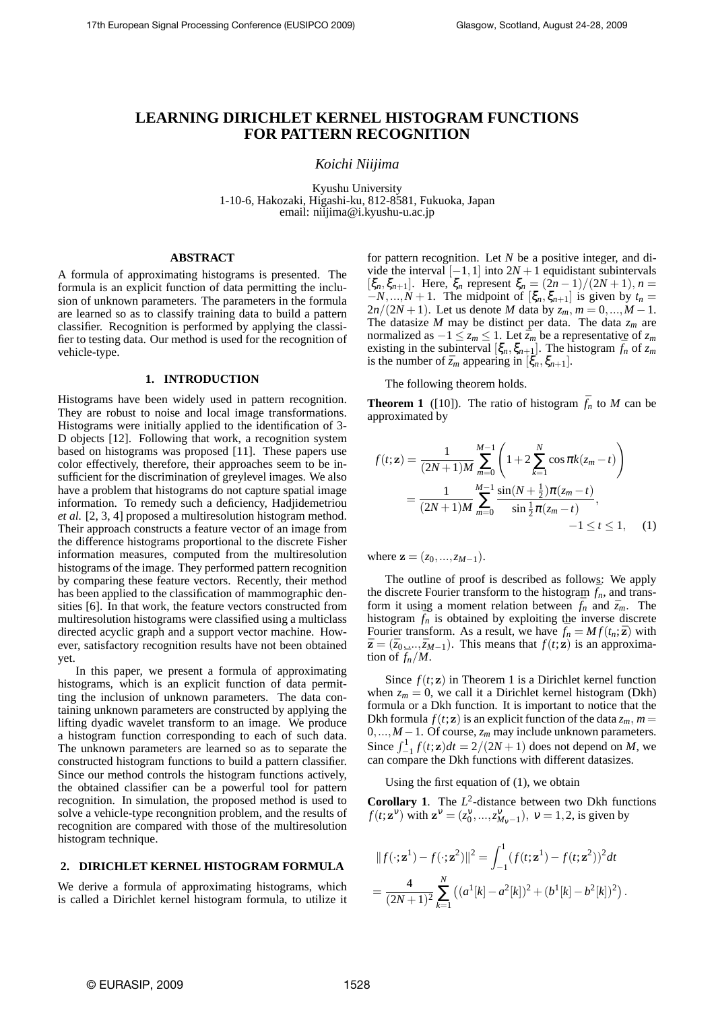# **LEARNING DIRICHLET KERNEL HISTOGRAM FUNCTIONS FOR PATTERN RECOGNITION**

*Koichi Niijima*

Kyushu University 1-10-6, Hakozaki, Higashi-ku, 812-8581, Fukuoka, Japan email: niijima@i.kyushu-u.ac.jp

## **ABSTRACT**

A formula of approximating histograms is presented. The formula is an explicit function of data permitting the inclusion of unknown parameters. The parameters in the formula are learned so as to classify training data to build a pattern classifier. Recognition is performed by applying the classifier to testing data. Our method is used for the recognition of vehicle-type.

## **1. INTRODUCTION**

Histograms have been widely used in pattern recognition. They are robust to noise and local image transformations. Histograms were initially applied to the identification of 3- D objects [12]. Following that work, a recognition system based on histograms was proposed [11]. These papers use color effectively, therefore, their approaches seem to be insufficient for the discrimination of greylevel images. We also have a problem that histograms do not capture spatial image information. To remedy such a deficiency, Hadjidemetriou *et al.* [2, 3, 4] proposed a multiresolution histogram method. Their approach constructs a feature vector of an image from the difference histograms proportional to the discrete Fisher information measures, computed from the multiresolution histograms of the image. They performed pattern recognition by comparing these feature vectors. Recently, their method has been applied to the classification of mammographic densities [6]. In that work, the feature vectors constructed from multiresolution histograms were classified using a multiclass directed acyclic graph and a support vector machine. However, satisfactory recognition results have not been obtained yet.

In this paper, we present a formula of approximating histograms, which is an explicit function of data permitting the inclusion of unknown parameters. The data containing unknown parameters are constructed by applying the lifting dyadic wavelet transform to an image. We produce a histogram function corresponding to each of such data. The unknown parameters are learned so as to separate the constructed histogram functions to build a pattern classifier. Since our method controls the histogram functions actively, the obtained classifier can be a powerful tool for pattern recognition. In simulation, the proposed method is used to solve a vehicle-type recongnition problem, and the results of recognition are compared with those of the multiresolution histogram technique.

# **2. DIRICHLET KERNEL HISTOGRAM FORMULA**

We derive a formula of approximating histograms, which is called a Dirichlet kernel histogram formula, to utilize it for pattern recognition. Let *N* be a positive integer, and divide the interval  $[-1,1]$  into  $2N + 1$  equidistant subintervals  $[\xi_n, \xi_{n+1}]$ . Here,  $\xi_n$  represent  $\xi_n = (2n-1)/(2N+1)$ ,  $n =$ *−N,...,N* + 1. The midpoint of  $[\xi_n, \xi_{n+1}]$  is given by *t<sub>n</sub>* = 2*n/*(2*N* +1). Let us denote *M* data by *zm, m* = 0*,...,M −*1. The datasize *M* may be distinct per data. The data *z<sup>m</sup>* are normalized as  $-1 \le z_m \le 1$ . Let  $\bar{z}_m$  be a representative of  $z_m$ existing in the subinterval  $[\xi_n, \xi_{n+1}]$ . The histogram  $\bar{f}_n$  of  $z_m$ is the number of  $\bar{z}_m$  appearing in  $[\xi_n, \xi_{n+1}]$ .

The following theorem holds.

**Theorem 1** ([10]). The ratio of histogram  $\bar{f}_n$  to *M* can be approximated by

$$
f(t; \mathbf{z}) = \frac{1}{(2N+1)M} \sum_{m=0}^{M-1} \left( 1 + 2 \sum_{k=1}^{N} \cos \pi k (z_m - t) \right)
$$
  
= 
$$
\frac{1}{(2N+1)M} \sum_{m=0}^{M-1} \frac{\sin(N + \frac{1}{2})\pi (z_m - t)}{\sin \frac{1}{2}\pi (z_m - t)},
$$
  
-1 \le t \le 1, (1)

where  $z = (z_0, ..., z_{M-1}).$ 

The outline of proof is described as follows: We apply the discrete Fourier transform to the histogram  $\bar{f}_n$ , and transform it using a moment relation between  $\bar{f}_n$  and  $\bar{z}_m$ . The histogram  $\bar{f}_n$  is obtained by exploiting the inverse discrete Fourier transform. As a result, we have  $f_n = Mf(t_n; \bar{z})$  with  $\bar{\mathbf{z}} = (\bar{z}_0, ..., \bar{z}_{M-1})$ . This means that  $f(t; \mathbf{z})$  is an approximation of  $\bar{f}_n/M$ .

Since  $f(t; \mathbf{z})$  in Theorem 1 is a Dirichlet kernel function when  $z_m = 0$ , we call it a Dirichlet kernel histogram (Dkh) formula or a Dkh function. It is important to notice that the Dkh formula  $f(t; \mathbf{z})$  is an explicit function of the data  $z_m$ ,  $m =$ 0*,...,M −*1. Of course, *z<sup>m</sup>* may include unknown parameters. Since  $\int_{-1}^{1} f(t; \mathbf{z}) dt = 2/(2N + 1)$  does not depend on *M*, we can compare the Dkh functions with different datasizes.

#### Using the first equation of (1), we obtain

**Corollary 1.** The  $L^2$ -distance between two Dkh functions *f*(*t*;**z**<sup>*v*</sup>) with **z**<sup>*v*</sup> = ( $z_0^{\nu},...,z_{M_v-1}^{\nu}$ ),  $\nu$  = 1,2, is given by

$$
||f(\cdot; \mathbf{z}^1) - f(\cdot; \mathbf{z}^2)||^2 = \int_{-1}^1 (f(t; \mathbf{z}^1) - f(t; \mathbf{z}^2))^2 dt
$$
  
= 
$$
\frac{4}{(2N+1)^2} \sum_{k=1}^N ((a^1[k] - a^2[k])^2 + (b^1[k] - b^2[k])^2).
$$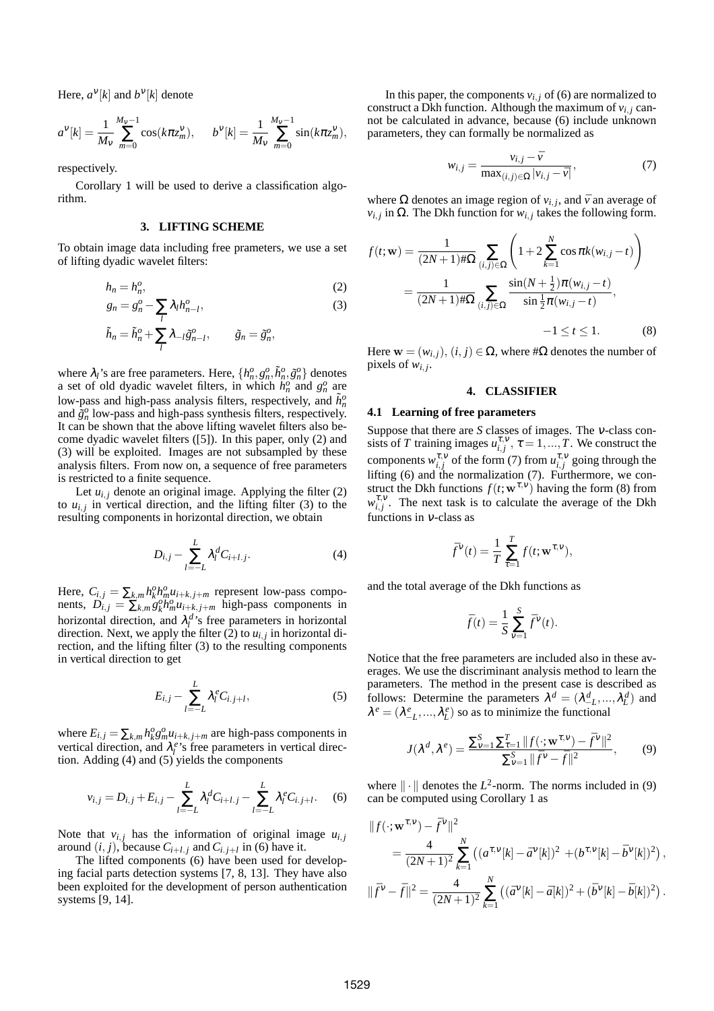Here,  $a^{\vee}[k]$  and  $b^{\vee}[k]$  denote

$$
a^{V}[k] = \frac{1}{M_{V}} \sum_{m=0}^{M_{V}-1} \cos(k\pi z_{m}^{V}), \qquad b^{V}[k] = \frac{1}{M_{V}} \sum_{m=0}^{M_{V}-1} \sin(k\pi z_{m}^{V}),
$$

respectively.

Corollary 1 will be used to derive a classification algorithm.

#### **3. LIFTING SCHEME**

To obtain image data including free prameters, we use a set of lifting dyadic wavelet filters:

$$
h_n = h_n^o,\tag{2}
$$

$$
g_n = g_n^o - \sum_l \lambda_l h_{n-l}^o,\tag{3}
$$

$$
\tilde{h}_n = \tilde{h}_n^o + \sum_l \lambda_{-l} \tilde{g}_{n-l}^o, \qquad \tilde{g}_n = \tilde{g}_n^o,
$$

where  $\lambda_i$ 's are free parameters. Here,  $\{h_n^o, g_n^o, \tilde{h}_n^o, \tilde{g}_n^o\}$  denotes a set of old dyadic wavelet filters, in which  $h_n^o$  and  $g_n^o$  are low-pass and high-pass analysis filters, respectively, and  $\tilde{h}^o_n$ and  $\tilde{g}^o_n$  low-pass and high-pass synthesis filters, respectively. It can be shown that the above lifting wavelet filters also become dyadic wavelet filters ([5]). In this paper, only (2) and (3) will be exploited. Images are not subsampled by these analysis filters. From now on, a sequence of free parameters is restricted to a finite sequence.

Let  $u_{i,j}$  denote an original image. Applying the filter (2) to  $u_{i,j}$  in vertical direction, and the lifting filter (3) to the resulting components in horizontal direction, we obtain

$$
D_{i,j} - \sum_{l=-L}^{L} \lambda_l^d C_{i+l,j}.
$$
 (4)

Here,  $C_{i,j} = \sum_{k,m} h_k^0 h_m^0 u_{i+k,j+m}$  represent low-pass components,  $D_{i,j} = \sum_{k,m}^{m} g_k^{\circ} h_m^{\circ} u_{i+k,j+m}$  high-pass components in horizontal direction, and  $\lambda_l^d$ 's free parameters in horizontal direction. Next, we apply the filter (2) to *ui, <sup>j</sup>* in horizontal direction, and the lifting filter (3) to the resulting components in vertical direction to get

$$
E_{i,j} - \sum_{l=-L}^{L} \lambda_l^e C_{i,j+l}, \qquad (5)
$$

where  $E_{i,j} = \sum_{k,m} h_k^o g_m^o u_{i+k,j+m}$  are high-pass components in vertical direction, and  $\lambda_i^e$ 's free parameters in vertical direction. Adding (4) and (5) yields the components

$$
v_{i,j} = D_{i,j} + E_{i,j} - \sum_{l=-L}^{L} \lambda_l^d C_{i+l,j} - \sum_{l=-L}^{L} \lambda_l^e C_{i,j+l}.
$$
 (6)

Note that  $v_{i,j}$  has the information of original image  $u_{i,j}$ around  $(i, j)$ , because  $C_{i+l, j}$  and  $C_{i, j+l}$  in (6) have it.

The lifted components (6) have been used for developing facial parts detection systems [7, 8, 13]. They have also been exploited for the development of person authentication systems [9, 14].

In this paper, the components  $v_{i,j}$  of (6) are normalized to construct a Dkh function. Although the maximum of  $v_{i,j}$  cannot be calculated in advance, because (6) include unknown parameters, they can formally be normalized as

$$
w_{i,j} = \frac{v_{i,j} - \bar{v}}{\max_{(i,j) \in \Omega} |v_{i,j} - \bar{v}|},\tag{7}
$$

where  $\Omega$  denotes an image region of  $v_{i,j}$ , and  $\bar{v}$  an average of  $v_{i,j}$  in  $\Omega$ . The Dkh function for  $w_{i,j}$  takes the following form.

$$
f(t; \mathbf{w}) = \frac{1}{(2N+1) \#\Omega} \sum_{(i,j) \in \Omega} \left( 1 + 2 \sum_{k=1}^{N} \cos \pi k (w_{i,j} - t) \right)
$$
  
= 
$$
\frac{1}{(2N+1) \#\Omega} \sum_{(i,j) \in \Omega} \frac{\sin(N + \frac{1}{2}) \pi (w_{i,j} - t)}{\sin \frac{1}{2} \pi (w_{i,j} - t)},
$$
  
-1 \le t \le 1. (8)

Here  $\mathbf{w} = (w_{i,j}), (i,j) \in \Omega$ , where # $\Omega$  denotes the number of pixels of  $w_{i,j}$ .

## **4. CLASSIFIER**

#### **4.1 Learning of free parameters**

Suppose that there are *S* classes of images. The <sup>ν</sup>-class consists of *T* training images  $u_{i,j}^{\tau,\nu}$ ,  $\tau = 1,...,T$ . We construct the components  $w_{i,j}^{\tau,\nu}$  of the form (7) from  $u_{i,j}^{\tau,\nu}$  going through the lifting (6) and the normalization (7). Furthermore, we construct the Dkh functions  $f(t; \mathbf{w}^{\tau, v})$  having the form (8) from  $w_{i,j}^{\tau,\nu}$ . The next task is to calculate the average of the Dkh functions in <sup>ν</sup>-class as

$$
\bar{f}^{\mathcal{V}}(t) = \frac{1}{T} \sum_{\tau=1}^{T} f(t; \mathbf{w}^{\tau, \mathcal{V}}),
$$

and the total average of the Dkh functions as

$$
\bar{f}(t) = \frac{1}{S} \sum_{\nu=1}^{S} \bar{f}^{\nu}(t).
$$

Notice that the free parameters are included also in these averages. We use the discriminant analysis method to learn the parameters. The method in the present case is described as follows: Determine the parameters  $\lambda^d = (\lambda^d_{-L}, ..., \lambda^d_{L})$  and  $\lambda^e = (\lambda_{-L}^e, ..., \lambda_L^e)$  so as to minimize the functional

$$
J(\lambda^{d}, \lambda^{e}) = \frac{\sum_{\nu=1}^{S} \sum_{\tau=1}^{T} ||f(\cdot; \mathbf{w}^{\tau, \nu}) - \bar{f}^{\nu}||^{2}}{\sum_{\nu=1}^{S} ||\bar{f}^{\nu} - \bar{f}||^{2}},
$$
(9)

where  $\|\cdot\|$  denotes the  $L^2$ -norm. The norms included in (9) can be computed using Corollary 1 as

$$
||f(\cdot; \mathbf{w}^{\tau, v}) - \bar{f}^v||^2
$$
  
=  $\frac{4}{(2N+1)^2} \sum_{k=1}^N ((a^{\tau, v}[k] - \bar{a}^v[k])^2 + (b^{\tau, v}[k] - \bar{b}^v[k])^2),$   

$$
||\bar{f}^v - \bar{f}||^2 = \frac{4}{(2N+1)^2} \sum_{k=1}^N ((\bar{a}^v[k] - \bar{a}[k])^2 + (\bar{b}^v[k] - \bar{b}[k])^2).
$$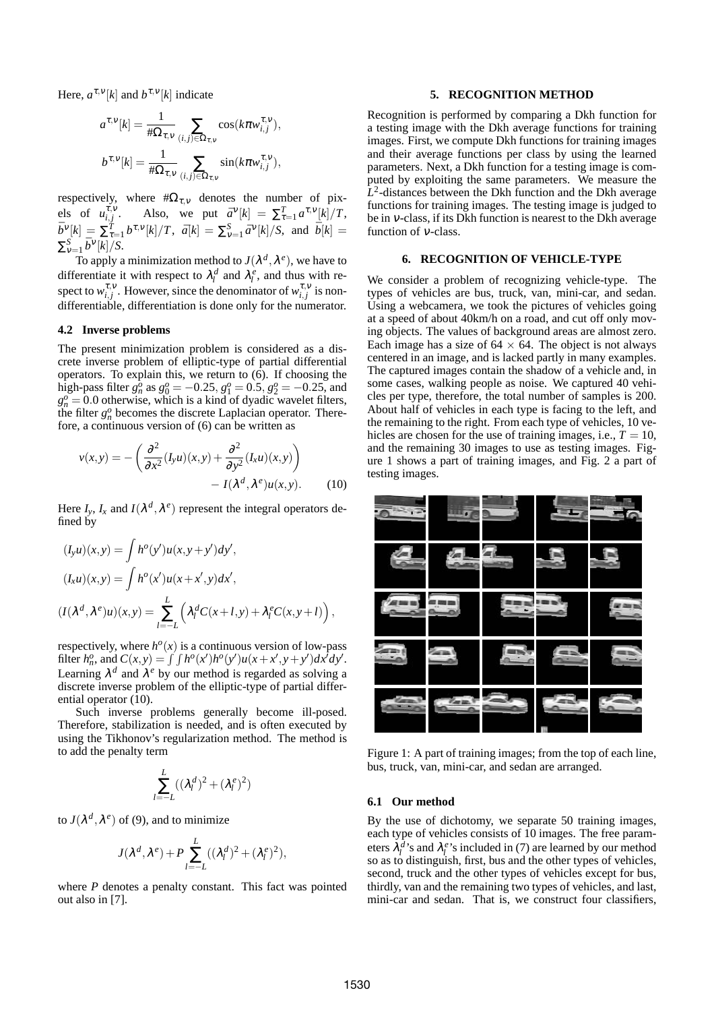Here,  $a^{\tau, \nu}[k]$  and  $b^{\tau, \nu}[k]$  indicate

$$
a^{\tau,\nu}[k] = \frac{1}{\#\Omega_{\tau,\nu}} \sum_{(i,j)\in\Omega_{\tau,\nu}} \cos(k\pi w_{i,j}^{\tau,\nu}),
$$
  

$$
b^{\tau,\nu}[k] = \frac{1}{\#\Omega_{\tau,\nu}} \sum_{(i,j)\in\Omega_{\tau,\nu}} \sin(k\pi w_{i,j}^{\tau,\nu}),
$$

respectively, where #Ωτ*,*<sup>ν</sup> denotes the number of pixels of  $u_{i,j}^{\tau,\nu}$ . Also, we put  $\bar{a}^{\nu}[k] = \sum_{\tau=1}^{T} a^{\tau,\nu}[k] / T$ ,  $\bar{b}^{\nu}[k] = \sum_{\tau=1}^{\bar{T}} b^{\tau,\nu}[k] / T$ ,  $\bar{a}[k] = \sum_{\nu=1}^S \bar{a}^{\nu}[k] / S$ , and  $\bar{b}[k] =$  $\sum_{V=1}^{S} \bar{b}^V[k]/S$ .

To apply a minimization method to  $J(\lambda^d, \lambda^e)$ , we have to differentiate it with respect to  $\lambda_i^d$  and  $\lambda_i^e$ , and thus with respect to  $w_{i,j}^{\tau,\nu}$ . However, since the denominator of  $w_{i,j}^{\tau,\nu}$  is nondifferentiable, differentiation is done only for the numerator.

## **4.2 Inverse problems**

The present minimization problem is considered as a discrete inverse problem of elliptic-type of partial differential operators. To explain this, we return to (6). If choosing the high-pass filter  $g_n^o$  as  $g_0^o = -0.25$ ,  $g_1^o = 0.5$ ,  $g_2^o = -0.25$ , and  $g_n^o = 0.0$  otherwise, which is a kind of dyadic wavelet filters, the filter  $g_n^o$  becomes the discrete Laplacian operator. Therefore, a continuous version of (6) can be written as

$$
v(x,y) = -\left(\frac{\partial^2}{\partial x^2} (I_y u)(x,y) + \frac{\partial^2}{\partial y^2} (I_x u)(x,y)\right) - I(\lambda^d, \lambda^e)u(x,y).
$$
 (10)

Here  $I_y$ ,  $I_x$  and  $I(\lambda^d, \lambda^e)$  represent the integral operators defined by

$$
(I_y u)(x, y) = \int h^o(y')u(x, y + y')dy',
$$
  
\n
$$
(I_x u)(x, y) = \int h^o(x')u(x + x', y)dx',
$$
  
\n
$$
(I(\lambda^d, \lambda^e)u)(x, y) = \sum_{l=-L}^{L} (\lambda_l^d C(x + l, y) + \lambda_l^e C(x, y + l)),
$$

respectively, where  $h^o(x)$  is a continuous version of low-pass filter  $h_n^o$ , and  $C(x, y) = \int \int h^o(x')h^o(y')u(x + x', y + y')dx'dy'.$ Learning  $\lambda^d$  and  $\lambda^e$  by our method is regarded as solving a discrete inverse problem of the elliptic-type of partial differential operator (10).

Such inverse problems generally become ill-posed. Therefore, stabilization is needed, and is often executed by using the Tikhonov's regularization method. The method is to add the penalty term

$$
\sum_{l=-L}^{L}((\lambda_l^d)^2+(\lambda_l^e)^2)
$$

to  $J(\lambda^d, \lambda^e)$  of (9), and to minimize

$$
J(\lambda^d, \lambda^e) + P \sum_{l=-L}^{L} ((\lambda^d_l)^2 + (\lambda^e_l)^2),
$$

where *P* denotes a penalty constant. This fact was pointed out also in [7].

## **5. RECOGNITION METHOD**

Recognition is performed by comparing a Dkh function for a testing image with the Dkh average functions for training images. First, we compute Dkh functions for training images and their average functions per class by using the learned parameters. Next, a Dkh function for a testing image is computed by exploiting the same parameters. We measure the  $\hat{L}^2$ -distances between the Dkh function and the Dkh average functions for training images. The testing image is judged to be in <sup>ν</sup>-class, if its Dkh function is nearest to the Dkh average function of <sup>ν</sup>-class.

# **6. RECOGNITION OF VEHICLE-TYPE**

We consider a problem of recognizing vehicle-type. The types of vehicles are bus, truck, van, mini-car, and sedan. Using a webcamera, we took the pictures of vehicles going at a speed of about 40km/h on a road, and cut off only moving objects. The values of background areas are almost zero. Each image has a size of  $64 \times 64$ . The object is not always centered in an image, and is lacked partly in many examples. The captured images contain the shadow of a vehicle and, in some cases, walking people as noise. We captured 40 vehicles per type, therefore, the total number of samples is 200. About half of vehicles in each type is facing to the left, and the remaining to the right. From each type of vehicles, 10 vehicles are chosen for the use of training images, i.e.,  $T = 10$ , and the remaining 30 images to use as testing images. Figure 1 shows a part of training images, and Fig. 2 a part of testing images.



Figure 1: A part of training images; from the top of each line, bus, truck, van, mini-car, and sedan are arranged.

#### **6.1 Our method**

By the use of dichotomy, we separate 50 training images, each type of vehicles consists of 10 images. The free parameters  $\lambda_l^d$ 's and  $\lambda_l^e$ 's included in (7) are learned by our method so as to distinguish, first, bus and the other types of vehicles, second, truck and the other types of vehicles except for bus, thirdly, van and the remaining two types of vehicles, and last, mini-car and sedan. That is, we construct four classifiers,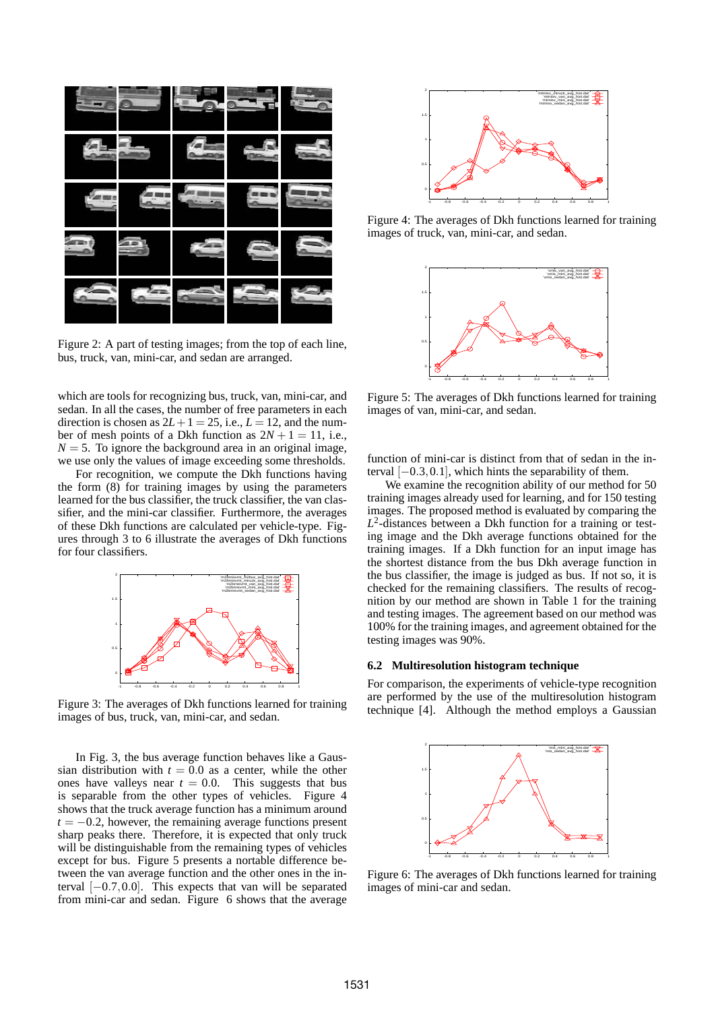

Figure 2: A part of testing images; from the top of each line, bus, truck, van, mini-car, and sedan are arranged.

which are tools for recognizing bus, truck, van, mini-car, and sedan. In all the cases, the number of free parameters in each direction is chosen as  $2L+1 = 25$ , i.e.,  $L = 12$ , and the number of mesh points of a Dkh function as  $2N + 1 = 11$ , i.e.,  $N = 5$ . To ignore the background area in an original image, we use only the values of image exceeding some thresholds.

For recognition, we compute the Dkh functions having the form (8) for training images by using the parameters learned for the bus classifier, the truck classifier, the van classifier, and the mini-car classifier. Furthermore, the averages of these Dkh functions are calculated per vehicle-type. Figures through 3 to 6 illustrate the averages of Dkh functions for four classifiers.



Figure 3: The averages of Dkh functions learned for training images of bus, truck, van, mini-car, and sedan.

In Fig. 3, the bus average function behaves like a Gaussian distribution with  $t = 0.0$  as a center, while the other ones have valleys near  $t = 0.0$ . This suggests that bus is separable from the other types of vehicles. Figure 4 shows that the truck average function has a minimum around  $t = -0.2$ , however, the remaining average functions present sharp peaks there. Therefore, it is expected that only truck will be distinguishable from the remaining types of vehicles except for bus. Figure 5 presents a nortable difference between the van average function and the other ones in the interval [*−*0*.*7*,*0*.*0]. This expects that van will be separated from mini-car and sedan. Figure 6 shows that the average



Figure 4: The averages of Dkh functions learned for training images of truck, van, mini-car, and sedan.



Figure 5: The averages of Dkh functions learned for training images of van, mini-car, and sedan.

function of mini-car is distinct from that of sedan in the interval [*−*0*.*3*,*0*.*1], which hints the separability of them.

We examine the recognition ability of our method for 50 training images already used for learning, and for 150 testing images. The proposed method is evaluated by comparing the *L* 2 -distances between a Dkh function for a training or testing image and the Dkh average functions obtained for the training images. If a Dkh function for an input image has the shortest distance from the bus Dkh average function in the bus classifier, the image is judged as bus. If not so, it is checked for the remaining classifiers. The results of recognition by our method are shown in Table 1 for the training and testing images. The agreement based on our method was 100% for the training images, and agreement obtained for the testing images was 90%.

## **6.2 Multiresolution histogram technique**

For comparison, the experiments of vehicle-type recognition are performed by the use of the multiresolution histogram technique [4]. Although the method employs a Gaussian



Figure 6: The averages of Dkh functions learned for training images of mini-car and sedan.